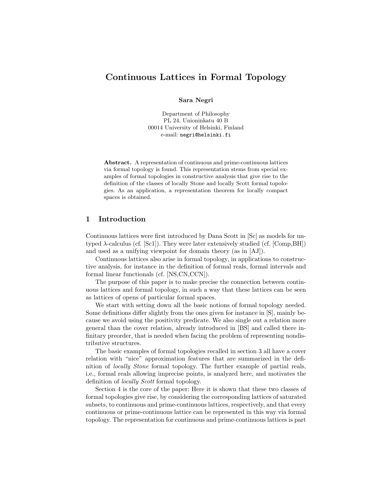# Continuous Lattices in Formal Topology

Sara Negri

Department of Philosophy PL 24, Unioninkatu 40 B 00014 University of Helsinki, Finland e-mail: negri@helsinki.fi

Abstract. A representation of continuous and prime-continuous lattices via formal topology is found. This representation stems from special examples of formal topologies in constructive analysis that give rise to the definition of the classes of locally Stone and locally Scott formal topologies. As an application, a representation theorem for locally compact spaces is obtained.

# 1 Introduction

Continuous lattices were first introduced by Dana Scott in [Sc] as models for untyped  $\lambda$ -calculus (cf. [Sc1]). They were later extensively studied (cf. [Comp, BH]) and used as a unifying viewpoint for domain theory (as in [AJ]).

Continuous lattices also arise in formal topology, in applications to constructive analysis, for instance in the definition of formal reals, formal intervals and formal linear functionals (cf. [NS,CN,CCN]).

The purpose of this paper is to make precise the connection between continuous lattices and formal topology, in such a way that these lattices can be seen as lattices of opens of particular formal spaces.

We start with setting down all the basic notions of formal topology needed. Some definitions differ slightly from the ones given for instance in [S], mainly because we avoid using the positivity predicate. We also single out a relation more general than the cover relation, already introduced in [BS] and called there infinitary preorder, that is needed when facing the problem of representing nondistributive structures.

The basic examples of formal topologies recalled in section 3 all have a cover relation with "nice" approximation features that are summarized in the definition of locally Stone formal topology. The further example of partial reals, i.e., formal reals allowing imprecise points, is analyzed here, and motivates the definition of locally Scott formal topology.

Section 4 is the core of the paper: Here it is shown that these two classes of formal topologies give rise, by considering the corresponding lattices of saturated subsets, to continuous and prime-continuous lattices, respectively, and that every continuous or prime-continuous lattice can be represented in this way via formal topology. The representation for continuous and prime-continuous lattices is part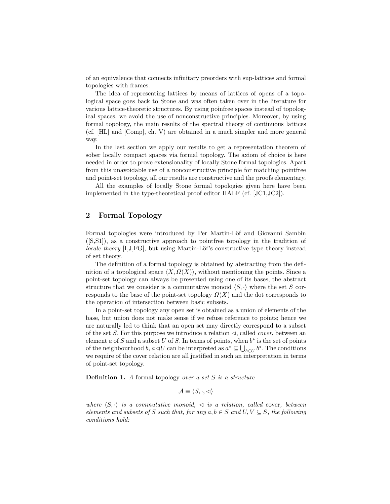of an equivalence that connects infinitary preorders with sup-lattices and formal topologies with frames.

The idea of representing lattices by means of lattices of opens of a topological space goes back to Stone and was often taken over in the literature for various lattice-theoretic structures. By using poinfree spaces instead of topological spaces, we avoid the use of nonconstructive principles. Moreover, by using formal topology, the main results of the spectral theory of continuous lattices (cf. [HL] and [Comp], ch. V) are obtained in a much simpler and more general way.

In the last section we apply our results to get a representation theorem of sober locally compact spaces via formal topology. The axiom of choice is here needed in order to prove extensionality of locally Stone formal topologies. Apart from this unavoidable use of a nonconstructive principle for matching pointfree and point-set topology, all our results are constructive and the proofs elementary.

All the examples of locally Stone formal topologies given here have been implemented in the type-theoretical proof editor HALF (cf. [JC1,JC2]).

# 2 Formal Topology

Formal topologies were introduced by Per Martin-Löf and Giovanni Sambin ([S,S1]), as a constructive approach to pointfree topology in the tradition of locale theory  $[I,J,FG]$ , but using Martin-Löf's constructive type theory instead of set theory.

The definition of a formal topology is obtained by abstracting from the definition of a topological space  $\langle X, \Omega(X) \rangle$ , without mentioning the points. Since a point-set topology can always be presented using one of its bases, the abstract structure that we consider is a commutative monoid  $\langle S, \cdot \rangle$  where the set S corresponds to the base of the point-set topology  $\Omega(X)$  and the dot corresponds to the operation of intersection between basic subsets.

In a point-set topology any open set is obtained as a union of elements of the base, but union does not make sense if we refuse reference to points; hence we are naturally led to think that an open set may directly correspond to a subset of the set S. For this purpose we introduce a relation  $\triangleleft$ , called *cover*, between an element a of S and a subset U of S. In terms of points, when  $b^*$  is the set of points of the neighbourhood  $b, a \triangleleft U$  can be interpreted as  $a^* \subseteq \bigcup_{b \in U} b^*$ . The conditions we require of the cover relation are all justified in such an interpretation in terms of point-set topology.

**Definition 1.** A formal topology over a set  $S$  is a structure

$$
\mathcal{A} \equiv \langle S, \cdot, \triangleleft \rangle
$$

where  $\langle S, \cdot \rangle$  is a commutative monoid,  $\triangleleft$  is a relation, called cover, between elements and subsets of S such that, for any  $a, b \in S$  and  $U, V \subseteq S$ , the following conditions hold: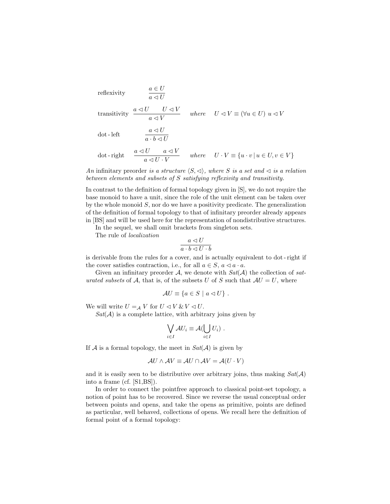reflexivity 
$$
\frac{a \in U}{a \triangleleft U}
$$
  
transitivity 
$$
\frac{a \triangleleft U}{a \triangleleft V} \quad where \quad U \triangleleft V \equiv (\forall u \in U) \ u \triangleleft V
$$
  
dot-left 
$$
\frac{a \triangleleft U}{a \cdot b \triangleleft U}
$$
  
dot-right 
$$
\frac{a \triangleleft U}{a \triangleleft U \cdot V} \quad where \quad U \cdot V \equiv \{u \cdot v \mid u \in U, v \in V\}
$$

An infinitary preorder is a structure  $\langle S, \triangleleft \rangle$ , where S is a set and  $\triangleleft$  is a relation between elements and subsets of S satisfying reflexivity and transitivity.

In contrast to the definition of formal topology given in [S], we do not require the base monoid to have a unit, since the role of the unit element can be taken over by the whole monoid  $S$ , nor do we have a positivity predicate. The generalization of the definition of formal topology to that of infinitary preorder already appears in [BS] and will be used here for the representation of nondistributive structures.

In the sequel, we shall omit brackets from singleton sets.

The rule of localization

$$
\frac{a \triangleleft U}{a \cdot b \triangleleft U \cdot b}
$$

is derivable from the rules for a cover, and is actually equivalent to dot - right if the cover satisfies contraction, i.e., for all  $a \in S$ ,  $a \lhd a \cdot a$ .

Given an infinitary preorder  $A$ , we denote with  $Sat(A)$  the collection of saturated subsets of A, that is, of the subsets U of S such that  $AU = U$ , where

$$
\mathcal{A}U \equiv \{a \in S \mid a \lhd U\} .
$$

We will write  $U =_{\mathcal{A}} V$  for  $U \triangleleft V \& V \triangleleft U$ .

 $Sat(\mathcal{A})$  is a complete lattice, with arbitrary joins given by

$$
\bigvee_{i\in I} \mathcal{A}U_i \equiv \mathcal{A}(\bigcup_{i\in I} U_i) .
$$

If A is a formal topology, the meet in  $Sat(A)$  is given by

$$
\mathcal{A}U \wedge \mathcal{A}V \equiv \mathcal{A}U \cap \mathcal{A}V = \mathcal{A}(U \cdot V)
$$

and it is easily seen to be distributive over arbitrary joins, thus making  $Sat(\mathcal{A})$ into a frame (cf. [S1,BS]).

In order to connect the pointfree approach to classical point-set topology, a notion of point has to be recovered. Since we reverse the usual conceptual order between points and opens, and take the opens as primitive, points are defined as particular, well behaved, collections of opens. We recall here the definition of formal point of a formal topology: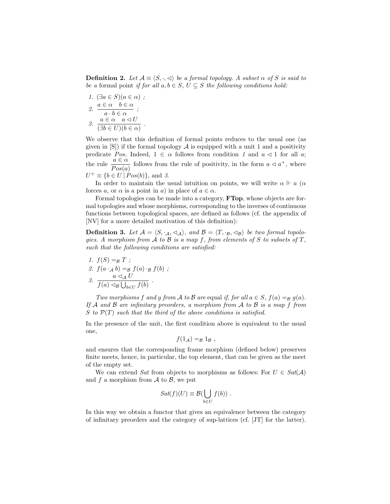**Definition 2.** Let  $A \equiv \langle S, \cdot, \prec \rangle$  be a formal topology. A subset  $\alpha$  of S is said to be a formal point if for all  $a, b \in S$ ,  $U \subseteq S$  the following conditions hold:

1.  $(\exists a \in S)(a \in \alpha)$ ; 2.  $\frac{a \in \alpha \quad b \in \alpha}{1 - \alpha}$  $\frac{a}{a \cdot b \in \alpha}$ ; 3.  $\frac{a \in \alpha \quad a \triangleleft U}{\square \quad \square \quad \square \quad \square}$  $\frac{a^2 \in \alpha \quad a \leq c}{(\exists b \in U)(b \in \alpha)}$ .

We observe that this definition of formal points reduces to the usual one (as given in  $[S]$ ) if the formal topology  $A$  is equipped with a unit 1 and a positivity predicate Pos. Indeed,  $1 \in \alpha$  follows from condition 1 and  $a \le 1$  for all a; the rule  $\frac{a \in \alpha}{Pos(a)}$  follows from the rule of positivity, in the form  $a \triangleleft a^+$ , where  $U^+\equiv \{b\in U\,|\, Pos(b)\},\,$  and 3.

In order to maintain the usual intuition on points, we will write  $\alpha \Vdash a$  ( $\alpha$ forces a, or  $\alpha$  is a point in a) in place of  $a \in \alpha$ .

Formal topologies can be made into a category, FTop, whose objects are formal topologies and whose morphisms, corresponding to the inverses of continuous functions between topological spaces, are defined as follows (cf. the appendix of [NV] for a more detailed motivation of this definition):

**Definition 3.** Let  $\mathcal{A} = \langle S, \cdot_A, \triangleleft_{\mathcal{A}} \rangle$ , and  $\mathcal{B} = \langle T, \cdot_B, \triangleleft_{\mathcal{B}} \rangle$  be two formal topologies. A morphism from  $A$  to  $B$  is a map f, from elements of  $S$  to subsets of  $T$ , such that the following conditions are satisfied:

1. 
$$
f(S) = B T
$$
 ;  
\n2.  $f(a \cdot_A b) = B f(a) \cdot_B f(b)$  ;  
\n3.  $\frac{a \leq_A U}{f(a) \leq_B \bigcup_{b \in U} f(b)}$ .

Two morphisms f and g from A to B are equal if, for all  $a \in S$ ,  $f(a) =_B g(a)$ . If  $A$  and  $B$  are infinitary preorders, a morphism from  $A$  to  $B$  is a map f from S to  $\mathcal{P}(T)$  such that the third of the above conditions is satisfied.

In the presence of the unit, the first condition above is equivalent to the usual one,

$$
f(1_{\mathcal{A}}) =_{\mathcal{B}} 1_{\mathcal{B}} ,
$$

and ensures that the corresponding frame morphism (defined below) preserves finite meets, hence, in particular, the top element, that can be given as the meet of the empty set.

We can extend Sat from objects to morphisms as follows: For  $U \in Sat(\mathcal{A})$ and f a morphism from  $A$  to  $B$ , we put

$$
Sat(f)(U) \equiv \mathcal{B}(\bigcup_{b \in U} f(b)) .
$$

In this way we obtain a functor that gives an equivalence between the category of infinitary preorders and the category of sup-lattices (cf. [JT] for the latter).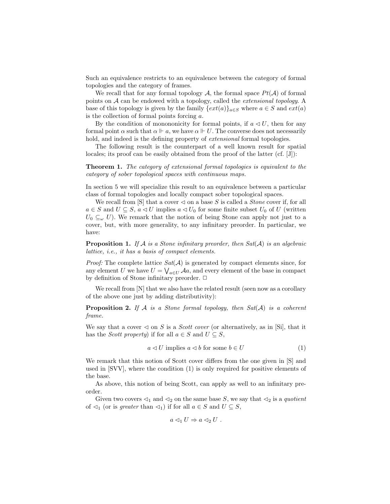Such an equivalence restricts to an equivalence between the category of formal topologies and the category of frames.

We recall that for any formal topology A, the formal space  $Pt(A)$  of formal points on A can be endowed with a topology, called the extensional topology. A base of this topology is given by the family  $\{ext(a)\}_{a\in S}$  where  $a \in S$  and  $ext(a)$ is the collection of formal points forcing a.

By the condition of monononicity for formal points, if  $a \triangleleft U$ , then for any formal point  $\alpha$  such that  $\alpha \Vdash a$ , we have  $\alpha \Vdash U$ . The converse does not necessarily hold, and indeed is the defining property of *extensional* formal topologies.

The following result is the counterpart of a well known result for spatial locales; its proof can be easily obtained from the proof of the latter (cf. [J]):

Theorem 1. The category of extensional formal topologies is equivalent to the category of sober topological spaces with continuous maps.

In section 5 we will specialize this result to an equivalence between a particular class of formal topologies and locally compact sober topological spaces.

We recall from  $[S]$  that a cover  $\triangleleft$  on a base S is called a *Stone* cover if, for all  $a \in S$  and  $U \subseteq S$ ,  $a \lhd U$  implies  $a \lhd U_0$  for some finite subset  $U_0$  of U (written  $U_0 \subseteq_{\omega} U$ ). We remark that the notion of being Stone can apply not just to a cover, but, with more generality, to any infinitary preorder. In particular, we have:

**Proposition 1.** If  $A$  is a Stone infinitary preorder, then  $Sat(A)$  is an algebraic lattice, i.e., it has a basis of compact elements.

*Proof:* The complete lattice  $Sat(\mathcal{A})$  is generated by compact elements since, for any element U we have  $U = \bigvee_{a \in U} \mathcal{A}a$ , and every element of the base in compact by definition of Stone infinitary preorder.  $\Box$ 

We recall from  $[N]$  that we also have the related result (seen now as a corollary of the above one just by adding distributivity):

**Proposition 2.** If A is a Stone formal topology, then  $Sat(A)$  is a coherent frame.

We say that a cover  $\triangleleft$  on S is a *Scott cover* (or alternatively, as in [Si], that it has the Scott property) if for all  $a \in S$  and  $U \subseteq S$ ,

$$
a \triangleleft U \text{ implies } a \triangleleft b \text{ for some } b \in U \tag{1}
$$

We remark that this notion of Scott cover differs from the one given in [S] and used in [SVV], where the condition (1) is only required for positive elements of the base.

As above, this notion of being Scott, can apply as well to an infinitary preorder.

Given two covers  $\triangleleft_1$  and  $\triangleleft_2$  on the same base S, we say that  $\triangleleft_2$  is a quotient of  $\lhd_1$  (or is greater than  $\lhd_1$ ) if for all  $a \in S$  and  $U \subseteq S$ ,

$$
a \lhd_1 U \Rightarrow a \lhd_2 U .
$$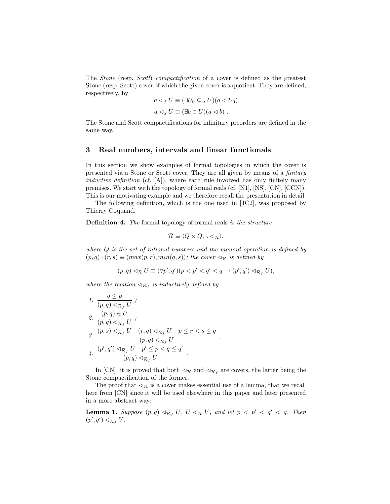The Stone (resp. Scott) compactification of a cover is defined as the greatest Stone (resp. Scott) cover of which the given cover is a quotient. They are defined, respectively, by

$$
a \triangleleft_f U \equiv (\exists U_0 \subseteq_\omega U)(a \triangleleft U_0)
$$
  

$$
a \triangleleft_s U \equiv (\exists b \in U)(a \triangleleft b).
$$

The Stone and Scott compactifications for infinitary preorders are defined in the same way.

#### 3 Real numbers, intervals and linear functionals

In this section we show examples of formal topologies in which the cover is presented via a Stone or Scott cover. They are all given by means of a finitary inductive definition (cf.  $[A]$ ), where each rule involved has only finitely many premises. We start with the topology of formal reals (cf. [N1], [NS], [CN], [CCN]). This is our motivating example and we therefore recall the presentation in detail.

The following definition, which is the one used in [JC2], was proposed by Thierry Coquand.

**Definition 4.** The formal topology of formal reals is the structure

$$
\mathcal{R} \equiv \langle Q \times Q, \cdot, \triangleleft_{\mathcal{R}} \rangle,
$$

where Q is the set of rational numbers and the monoid operation is defined by  $(p, q) \cdot (r, s) \equiv (max(p, r), min(q, s))$ ; the cover  $\lhd_R$  is defined by

 $(p,q) \triangleleft_{\mathcal{R}} U \equiv (\forall p',q') (p < p' < q' < q \rightarrow (p',q') \triangleleft_{\mathcal{R}_f} U),$ 

where the relation  $\lhd_{\mathcal{R}_f}$  is inductively defined by

1. 
$$
\frac{q \leq p}{(p,q) \triangleleft_{\mathcal{R}_f} U} ;
$$
  
\n2. 
$$
\frac{(p,q) \in U}{(p,q) \triangleleft_{\mathcal{R}_f} U} ;
$$
  
\n3. 
$$
\frac{(p,s) \triangleleft_{\mathcal{R}_f} U \quad (r,q) \triangleleft_{\mathcal{R}_f} U \quad p \leq r < s \leq q}{(p,q) \triangleleft_{\mathcal{R}_f} U} ;
$$
  
\n4. 
$$
\frac{(p',q') \triangleleft_{\mathcal{R}_f} U \quad p' \leq p < q \leq q'}{(p,q) \triangleleft_{\mathcal{R}_f} U}.
$$

In [CN], it is proved that both  $\lhd_{\mathcal{R}}$  and  $\lhd_{\mathcal{R}_f}$  are covers, the latter being the Stone compactification of the former.

The proof that  $\triangleleft_{\mathcal{R}}$  is a cover makes essential use of a lemma, that we recall here from [CN] since it will be used elsewhere in this paper and later presented in a more abstract way:

**Lemma 1.** Suppose  $(p,q) \triangleleft_{\mathcal{R}_f} U$ ,  $U \triangleleft_{\mathcal{R}} V$ , and let  $p < p' < q' < q$ . Then  $(p', q') \lhd_{\mathcal{R}_f} V.$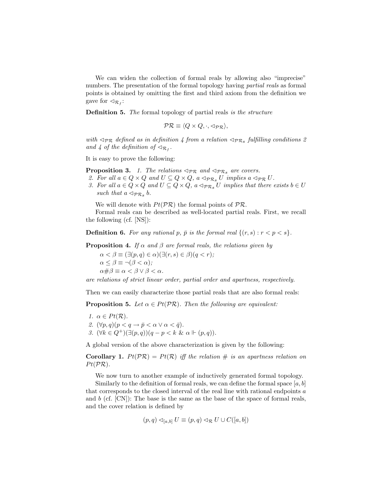We can widen the collection of formal reals by allowing also "imprecise" numbers. The presentation of the formal topology having *partial reals* as formal points is obtained by omitting the first and third axiom from the definition we gave for  $\lhd_{\mathcal{R}_f}$ :

Definition 5. The formal topology of partial reals is the structure

$$
\mathcal{PR} \equiv \langle Q \times Q, \cdot, \triangleleft_{\mathcal{PR}} \rangle,
$$

with  $\triangle_{PR}$  defined as in definition 4 from a relation  $\triangle_{PRs}$  fulfilling conditions 2 and 4 of the definition of  $\lhd_{\mathcal{R}_f}$ .

It is easy to prove the following:

**Proposition 3.** 1. The relations  $\triangleleft_{PR}$  and  $\triangleleft_{PR_s}$  are covers.

- 2. For all  $a \in Q \times Q$  and  $U \subseteq Q \times Q$ ,  $a \triangleleft_{\mathcal{PR}} U$  implies  $a \triangleleft_{\mathcal{PR}} U$ .
- 3. For all  $a \in Q \times Q$  and  $U \subseteq Q \times Q$ ,  $a \triangleleft_{\mathcal{PR}_s} U$  implies that there exists  $b \in U$ such that  $a \triangleleft_{\mathcal{PR}_s} b$ .

We will denote with  $Pt(\mathcal{PR})$  the formal points of  $PR$ .

Formal reals can be described as well-located partial reals. First, we recall the following (cf. [NS]):

**Definition 6.** For any rational p,  $\bar{p}$  is the formal real  $\{(r, s) : r < p < s\}$ .

**Proposition 4.** If  $\alpha$  and  $\beta$  are formal reals, the relations given by

 $\alpha < \beta \equiv (\exists (p,q) \in \alpha)(\exists (r,s) \in \beta)(q < r);$  $\alpha \leq \beta \equiv \neg (\beta < \alpha);$  $\alpha \# \beta \equiv \alpha < \beta \lor \beta < \alpha$ .

are relations of strict linear order, partial order and apartness, respectively.

Then we can easily characterize those partial reals that are also formal reals:

**Proposition 5.** Let  $\alpha \in Pt(\mathcal{PR})$ . Then the following are equivalent:

- 1.  $\alpha \in Pt(R)$ .
- 2.  $(\forall p, q)(p < q \rightarrow \bar{p} < \alpha \lor \alpha < \bar{q})$ .
- 3.  $(\forall k \in Q^+)(\exists (p,q))(q-p < k \& \alpha \Vdash (p,q)).$

A global version of the above characterization is given by the following:

**Corollary 1.**  $Pt(\mathcal{PR}) = Pt(\mathcal{R})$  iff the relation  $\#$  is an apartness relation on  $Pt(\mathcal{PR})$ .

We now turn to another example of inductively generated formal topology.

Similarly to the definition of formal reals, we can define the formal space  $[a, b]$ that corresponds to the closed interval of the real line with rational endpoints a and  $b$  (cf.  $[CN]$ ): The base is the same as the base of the space of formal reals, and the cover relation is defined by

$$
(p,q) \lhd_{[a,b]} U \equiv (p,q) \lhd_{\mathcal{R}} U \cup C([a,b])
$$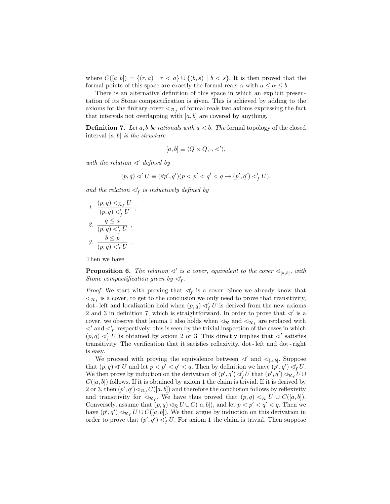where  $C([a, b]) = \{(r, a) \mid r < a\} \cup \{(b, s) \mid b < s\}.$  It is then proved that the formal points of this space are exactly the formal reals  $\alpha$  with  $a \leq \alpha \leq b$ .

There is an alternative definition of this space in which an explicit presentation of its Stone compactification is given. This is achieved by adding to the axioms for the finitary cover  $\lhd_{\mathcal{R}_f}$  of formal reals two axioms expressing the fact that intervals not overlapping with  $[a, b]$  are covered by anything.

**Definition 7.** Let a, b be rationals with  $a < b$ . The formal topology of the closed interval  $[a, b]$  is the structure

$$
[a, b] \equiv \langle Q \times Q, \cdot, \triangleleft' \rangle,
$$

with the relation  $\triangleleft'$  defined by

$$
(p,q) \triangleleft' U \equiv (\forall p',q')(p < p' < q' < q \rightarrow (p',q') \triangleleft'_{f} U),
$$

and the relation  $\lhd'_{f}$  is inductively defined by

1. 
$$
\frac{(p,q) \triangleleft_{\mathcal{R}_f} U}{(p,q) \triangleleft'_{f} U};
$$
  
2. 
$$
\frac{q \leq a}{(p,q) \triangleleft'_{f} U};
$$
  
3. 
$$
\frac{b \leq p}{(p,q) \triangleleft'_{f} U}.
$$

Then we have

**Proposition 6.** The relation  $\triangleleft'$  is a cover, equivalent to the cover  $\triangleleft_{[a,b]}$ , with Stone compactification given by  $\lhd'_{f}$ .

*Proof:* We start with proving that  $\prec_f'$  is a cover: Since we already know that  $\lhd_{\mathcal{R}_f}$  is a cover, to get to the conclusion we only need to prove that transitivity, dot-left and localization hold when  $(p, q) \lhd'_{f} U$  is derived from the new axioms 2 and 3 in definition 7, which is straightforward. In order to prove that  $\triangleleft'$  is a cover, we observe that lemma 1 also holds when  $\lhd_{\mathcal{R}}$  and  $\lhd_{\mathcal{R}_f}$  are replaced with  $\langle \cdot \rangle$  and  $\langle \cdot \rangle_f$ , respectively: this is seen by the trivial inspection of the cases in which  $(p,q) \lhd'_{f} U$  is obtained by axiom 2 or 3. This directly implies that  $\lhd'$  satisfies transitivity. The verification that it satisfies reflexivity, dot - left and dot - right is easy.

We proceed with proving the equivalence between  $\triangleleft'$  and  $\triangleleft_{[a,b]}$ . Suppose that  $(p, q) \lhd' U$  and let  $p < p' < q' < q$ . Then by definition we have  $(p', q') \lhd'_{f} U$ . We then prove by induction on the derivation of  $(p', q') \lhd'_{f} U$  that  $(p', q') \lhd_{\mathcal{R}_{f}} U \cup$  $C([a, b])$  follows. If it is obtained by axiom 1 the claim is trivial. If it is derived by 2 or 3, then  $(p', q') \triangleleft_{\mathcal{R}_f} C([a, b])$  and therefore the conclusion follows by reflexivity and transitivity for  $\lhd_{\mathcal{R}_f}$ . We have thus proved that  $(p, q) \lhd_{\mathcal{R}} U \cup C([a, b]).$ Conversely, assume that  $(p, q) \triangleleft_{\mathcal{R}} U \cup C([a, b]),$  and let  $p < p' < q' < q$ . Then we have  $(p', q') \triangleleft_{\mathcal{R}_f} U \cup C([a, b])$ . We then argue by induction on this derivation in order to prove that  $(p', q') \lhd'_{f} U$ . For axiom 1 the claim is trivial. Then suppose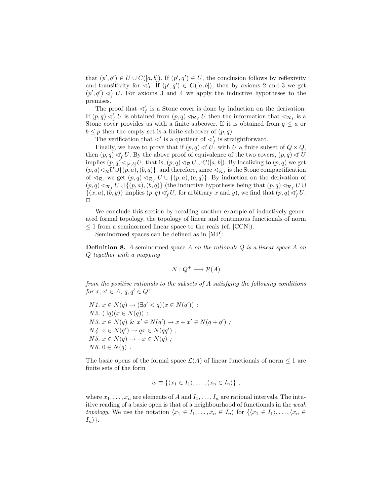that  $(p', q') \in U \cup C([a, b])$ . If  $(p', q') \in U$ , the conclusion follows by reflexivity and transitivity for  $\lhd'_f$ . If  $(p', q') \in C([a, b])$ , then by axioms 2 and 3 we get  $(p', q') \lhd'_{f} U$ . For axioms 3 and 4 we apply the inductive hypotheses to the premises.

The proof that  $\triangleleft'_f$  is a Stone cover is done by induction on the derivation: If  $(p, q) \lhd'_{f} U$  is obtained from  $(p, q) \lhd_{\mathcal{R}_f} U$  then the information that  $\lhd_{\mathcal{R}_f}$  is a Stone cover provides us with a finite subcover. If it is obtained from  $q \leq a$  or  $b \leq p$  then the empty set is a finite subcover of  $(p, q)$ .

The verification that  $\lhd'$  is a quotient of  $\lhd'_{f}$  is straightforward.

Finally, we have to prove that if  $(p, q) \triangleleft' U$ , with U a finite subset of  $Q \times Q$ , then  $(p, q) \triangleleft'_{f} U$ . By the above proof of equivalence of the two covers,  $(p, q) \triangleleft' U$ implies  $(p, q) \triangleleft_{[a, b]} U$ , that is,  $(p, q) \triangleleft_{\mathcal{R}} U \cup C([a, b])$ . By localizing to  $(p, q)$  we get  $(p,q) \triangleleft_{\mathcal{R}} U \cup \{(p,a),(b,q)\}\$ , and therefore, since  $\triangleleft_{\mathcal{R}_f}$  is the Stone compactification of  $\lhd_{\mathcal{R}}$ , we get  $(p, q) \lhd_{\mathcal{R}_f} U \cup \{(p, a), (b, q)\}$ . By induction on the derivation of  $(p,q) \triangleleft_{\mathcal{R}_f} U \cup \{(p,a),(b,q)\}\$  (the inductive hypothesis being that  $(p,q) \triangleleft_{\mathcal{R}_f} U \cup$  $\{(x, a), (b, y)\}\$ implies  $(p, q) \triangleleft'_{f} U$ , for arbitrary x and y), we find that  $(p, q) \triangleleft'_{f} U$ .  $\Box$ 

We conclude this section by recalling another example of inductively generated formal topology, the topology of linear and continuous functionals of norm  $\leq$  1 from a seminormed linear space to the reals (cf. [CCN]).

Seminormed spaces can be defined as in [MP]:

**Definition 8.** A seminormed space A on the rationals  $Q$  is a linear space A on Q together with a mapping

$$
N: Q^+ \longrightarrow \mathcal{P}(A)
$$

from the positive rationals to the subsets of A satisfying the following conditions for  $x, x' \in A$ ,  $q, q' \in Q^+$ :

N1. 
$$
x \in N(q) \rightarrow (\exists q' < q)(x \in N(q'))
$$
 ;  
\nN2.  $(\exists q)(x \in N(q))$  ;  
\nN3.  $x \in N(q)$  &  $x' \in N(q') \rightarrow x + x' \in N(q + q')$  ;  
\nN4.  $x \in N(q') \rightarrow qx \in N(qq')$  ;  
\nN5.  $x \in N(q) \rightarrow -x \in N(q)$  ;  
\nN6.  $0 \in N(q)$ .

The basic opens of the formal space  $\mathcal{L}(A)$  of linear functionals of norm  $\leq 1$  are finite sets of the form

$$
w \equiv \{ \langle x_1 \in I_1 \rangle, \ldots, \langle x_n \in I_n \rangle \},\,
$$

where  $x_1, \ldots, x_n$  are elements of A and  $I_1, \ldots, I_n$  are rational intervals. The intuitive reading of a basic open is that of a neighbourhood of functionals in the weak topology. We use the notation  $\langle x_1 \in I_1, \ldots, x_n \in I_n \rangle$  for  $\{\langle x_1 \in I_1 \rangle, \ldots, \langle x_n \in I_n \rangle\}$  $\{I_n\}\}.$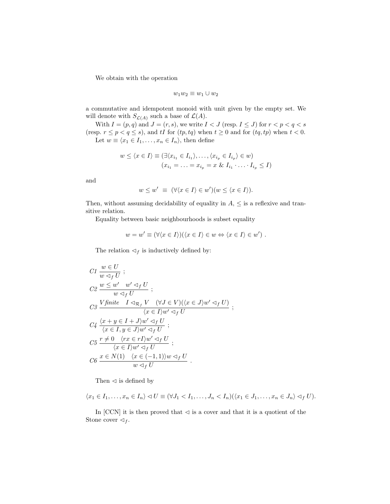We obtain with the operation

$$
w_1w_2\equiv w_1\cup w_2
$$

a commutative and idempotent monoid with unit given by the empty set. We will denote with  $S_{\mathcal{L}(A)}$  such a base of  $\mathcal{L}(A)$ .

With  $I = (p, q)$  and  $J = (r, s)$ , we write  $I \leq J$  (resp.  $I \leq J$ ) for  $r \leq p \leq q \leq s$ (resp.  $r \le p < q \le s$ ), and t*I* for  $(tp, tq)$  when  $t \ge 0$  and for  $(tq, tp)$  when  $t < 0$ .

Let  $w \equiv \langle x_1 \in I_1, \ldots, x_n \in I_n \rangle$ , then define

$$
w \leq \langle x \in I \rangle \equiv (\exists \langle x_{i_1} \in I_{i_1} \rangle, \dots, \langle x_{i_p} \in I_{i_p} \rangle \in w)
$$

$$
(x_{i_1} = \dots = x_{i_p} = x \& I_{i_1} \cdot \dots \cdot I_{i_p} \leq I)
$$

and

$$
w \le w' \equiv (\forall \langle x \in I \rangle \in w') (w \le \langle x \in I \rangle).
$$

Then, without assuming decidability of equality in  $A$ ,  $\leq$  is a reflexive and transitive relation.

Equality between basic neighbourhoods is subset equality

$$
w = w' \equiv (\forall \langle x \in I \rangle)(\langle x \in I \rangle \in w \Leftrightarrow \langle x \in I \rangle \in w')
$$
.

The relation  $\lhd_f$  is inductively defined by:

$$
C1 \frac{w \in U}{w \triangleleft_f U} ;
$$
  
\n
$$
C2 \frac{w \leq w' \quad w' \triangleleft_f U}{w \triangleleft_f U} ;
$$
  
\n
$$
C3 \frac{V \text{finite} \quad I \triangleleft_{\mathcal{R}_f} V \quad (\forall J \in V) (\langle x \in J \rangle w' \triangleleft_f U)}{\langle x \in I \rangle w' \triangleleft_f U} ;
$$
  
\n
$$
C4 \frac{\langle x + y \in I + J \rangle w' \triangleleft_f U}{\langle x \in I, y \in J \rangle w' \triangleleft_f U} ;
$$
  
\n
$$
C5 \frac{r \neq 0 \quad \langle r x \in r I \rangle w' \triangleleft_f U}{\langle x \in I \rangle w' \triangleleft_f U} ;
$$
  
\n
$$
C6 \frac{x \in N(1) \quad \langle x \in (-1, 1) \rangle w \triangleleft_f U}{w \triangleleft_f U} .
$$

Then  $\triangleleft$  is defined by

$$
\langle x_1 \in I_1, \ldots, x_n \in I_n \rangle \lhd U \equiv (\forall J_1 < I_1, \ldots, J_n < I_n) (\langle x_1 \in J_1, \ldots, x_n \in J_n \rangle \lhd_f U).
$$

In  $[CCN]$  it is then proved that  $\triangleleft$  is a cover and that it is a quotient of the Stone cover  $\lhd_f$ .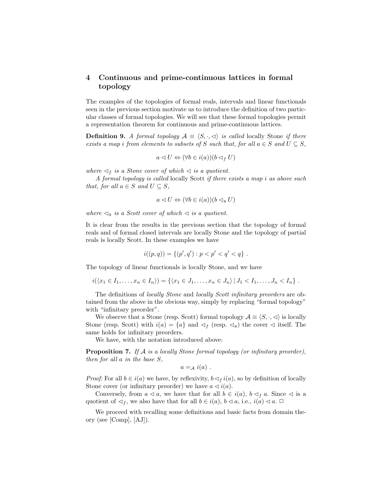# 4 Continuous and prime-continuous lattices in formal topology

The examples of the topologies of formal reals, intervals and linear functionals seen in the previous section motivate us to introduce the definition of two particular classes of formal topologies. We will see that these formal topologies permit a representation theorem for continuous and prime-continuous lattices.

**Definition 9.** A formal topology  $A \equiv \langle S, \cdot, \prec \rangle$  is called locally Stone if there exists a map i from elements to subsets of S such that, for all  $a \in S$  and  $U \subseteq S$ ,

$$
a \lhd U \Leftrightarrow (\forall b \in i(a))(b \lhd_f U)
$$

where  $\lhd_f$  is a Stone cover of which  $\lhd$  is a quotient.

A formal topology is called locally Scott if there exists a map i as above such that, for all  $a \in S$  and  $U \subseteq S$ ,

$$
a \lhd U \Leftrightarrow (\forall b \in i(a))(b \lhd_s U)
$$

where  $\lhd_s$  is a Scott cover of which  $\lhd$  is a quotient.

It is clear from the results in the previous section that the topology of formal reals and of formal closed intervals are locally Stone and the topology of partial reals is locally Scott. In these examples we have

$$
i((p,q)) = \{(p',q') : p < p' < q' < q\} .
$$

The topology of linear functionals is locally Stone, and we have

$$
i(\langle x_1 \in I_1, \ldots, x_n \in I_n \rangle) = \{ \langle x_1 \in J_1, \ldots, x_n \in J_n \rangle \mid J_1 < I_1, \ldots, J_n < I_n \}.
$$

The definitions of locally Stone and locally Scott infinitary preorders are obtained from the above in the obvious way, simply by replacing "formal topology" with "infinitary preorder".

We observe that a Stone (resp. Scott) formal topology  $\mathcal{A} \equiv \langle S, \cdot, \triangleleft \rangle$  is locally Stone (resp. Scott) with  $i(a) = \{a\}$  and  $\lhd_f$  (resp.  $\lhd_s$ ) the cover  $\lhd$  itself. The same holds for infinitary preorders.

We have, with the notation introduced above:

Proposition 7. If A is a locally Stone formal topology (or infinitary preorder), then for all a in the base S,

$$
a =_{\mathcal{A}} i(a) .
$$

*Proof:* For all  $b \in i(a)$  we have, by reflexivity,  $b \triangleleft f_i(a)$ , so by definition of locally Stone cover (or infinitary preorder) we have  $a \triangleleft i(a)$ .

Conversely, from  $a \triangleleft a$ , we have that for all  $b \in i(a)$ ,  $b \triangleleft f a$ . Since  $\triangleleft$  is a quotient of  $\lhd_f$ , we also have that for all  $b \in i(a)$ ,  $b \lhd a$ , i.e.,  $i(a) \lhd a$ .  $\Box$ 

We proceed with recalling some definitions and basic facts from domain theory (see [Comp], [AJ]).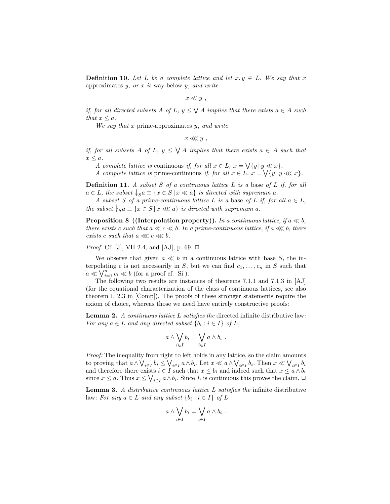**Definition 10.** Let L be a complete lattice and let  $x, y \in L$ . We say that x approximates  $y$ , or  $x$  is way-below  $y$ , and write

 $x \ll y$ ,

if, for all directed subsets A of L,  $y \leq \bigvee A$  implies that there exists  $a \in A$  such that  $x \leq a$ .

We say that  $x$  prime-approximates  $y$ , and write

 $x \lll y$ ,

if, for all subsets A of L,  $y \leq \bigvee A$  implies that there exists  $a \in A$  such that  $x \leq a$ .

A complete lattice is continuous if, for all  $x \in L$ ,  $x = \sqrt{\{y \mid y \ll x\}}$ .

A complete lattice is prime-continuous if, for all  $x \in L$ ,  $x = \sqrt{\{y \mid y \ll x \}}$ .

**Definition 11.** A subset S of a continuous lattice  $L$  is a base of  $L$  if, for all  $a \in L$ , the subset  $\downarrow_{S} a \equiv \{x \in S \mid x \ll a\}$  is directed with supremum a.

A subset S of a prime-continuous lattice L is a base of L if, for all  $a \in L$ , the subset  $\frac{1}{2}S$ a  $\equiv \{x \in S \mid x \ll a\}$  is directed with supremum a.

**Proposition 8** ((Interpolation property)). In a continuous lattice, if  $a \ll b$ , there exists c such that  $a \ll c \ll b$ . In a prime-continuous lattice, if  $a \ll c$  b, there exists c such that  $a \lll c \lll b$ .

*Proof:* Cf. [J], VII 2.4, and [AJ], p. 69.  $\Box$ 

We observe that given  $a \ll b$  in a continuous lattice with base S, the interpolating c is not necessarily in S, but we can find  $c_1, \ldots, c_n$  in S such that  $a \ll \bigvee_{i=1}^{n} c_i \ll b$  (for a proof cf. [Si]).

The following two results are instances of theorems 7.1.1 and 7.1.3 in [AJ] (for the equational characterization of the class of continuous lattices, see also theorem I, 2.3 in [Comp]). The proofs of these stronger statements require the axiom of choice, whereas those we need have entirely constructive proofs:

Lemma 2. A continuous lattice L satisfies the directed infinite distributive law: For any  $a \in L$  and any directed subset  $\{b_i : i \in I\}$  of L,

$$
a \wedge \bigvee_{i \in I} b_i = \bigvee_{i \in I} a \wedge b_i .
$$

Proof: The inequality from right to left holds in any lattice, so the claim amounts to proving that  $a \wedge \bigvee_{i \in I} b_i \leq \bigvee_{i \in I} a \wedge b_i$ . Let  $x \ll a \wedge \bigvee_{i \in I} b_i$ . Then  $x \ll \bigvee_{i \in I} b_i$ and therefore there exists  $i \in I$  such that  $x \leq b_i$  and indeed such that  $x \leq a \wedge b_i$ since  $x \le a$ . Thus  $x \le \bigvee_{i \in I} a \wedge b_i$ . Since L is continuous this proves the claim.  $\Box$ 

**Lemma 3.** A distributive continuous lattice  $L$  satisfies the infinite distributive law: For any  $a \in L$  and any subset  $\{b_i : i \in I\}$  of L

$$
a \wedge \bigvee_{i \in I} b_i = \bigvee_{i \in I} a \wedge b_i .
$$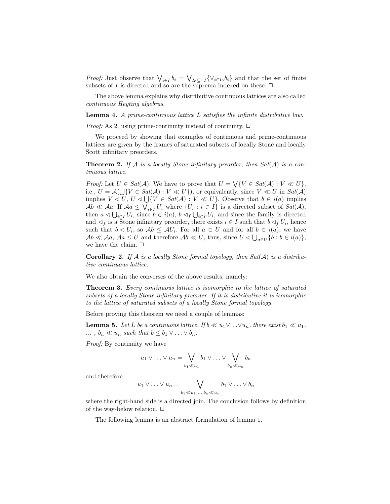*Proof:* Just observe that  $\bigvee_{i \in I} b_i = \bigvee_{I_0 \subseteq \omega} {\{ \vee_{i \in I_0} b_i \}}$  and that the set of finite subsets of I is directed and so are the suprema indexed on these.  $\Box$ 

The above lemma explains why distributive continuous lattices are also called continuous Heyting algebras.

Lemma 4. A prime-continuous lattice L satisfies the infinite distributive law.

*Proof:* As 2, using prime-continuity instead of continuity.  $\Box$ 

We proceed by showing that examples of continuous and prime-continuous lattices are given by the frames of saturated subsets of locally Stone and locally Scott infinitary preorders.

**Theorem 2.** If A is a locally Stone infinitary preorder, then  $Sat(A)$  is a continuous lattice.

*Proof:* Let  $U \in Sat(\mathcal{A})$ . We have to prove that  $U = \bigvee \{V \in Sat(\mathcal{A}) : V \ll U\},\$ i.e.,  $U = \mathcal{A}(\bigcup \{V \in \text{Sat}(\mathcal{A}) : V \ll U\})$ , or equivalently, since  $V \ll U$  in  $\text{Sat}(\mathcal{A})$ implies  $V \triangleleft U$ ,  $U \triangleleft \bigcup \{V \in \text{Sat}(\mathcal{A}) : V \ll U\}$ . Observe that  $b \in i(a)$  implies  $Ab \ll \mathcal{A}a$ : If  $\mathcal{A}a \leq \bigvee_{i \in I} U_i$  where  $\{U_i : i \in I\}$  is a directed subset of  $Sat(\mathcal{A}),$ then  $a \triangleleft \bigcup_{i \in I} U_i$ ; since  $b \in i(a)$ ,  $b \triangleleft f \bigcup_{i \in I} U_i$ , and since the family is directed and  $\lhd_f$  is a Stone infinitary preorder, there exists  $i \in I$  such that  $b \lhd_f U_i$ , hence such that  $b \triangleleft U_i$ , so  $Ab \leq AU_i$ . For all  $a \in U$  and for all  $b \in i(a)$ , we have  $\mathcal{A}b \ll \mathcal{A}a, \mathcal{A}a \leq U$  and therefore  $\mathcal{A}b \ll U$ , thus, since  $U \lhd \bigcup_{a \in U} \{b : b \in i(a)\},$ we have the claim.  $\Box$ 

**Corollary 2.** If A is a locally Stone formal topology, then  $Sat(A)$  is a distributive continuous lattice.

We also obtain the converses of the above results, namely:

Theorem 3. Every continuous lattice is isomorphic to the lattice of saturated subsets of a locally Stone infinitary preorder. If it is distributive it is isomorphic to the lattice of saturated subsets of a locally Stone formal topology.

Before proving this theorem we need a couple of lemmas:

**Lemma 5.** Let L be a continuous lattice. If  $b \ll u_1 \lor \ldots \lor u_n$ , there exist  $b_1 \ll u_1$ ,  $\ldots, b_n \ll u_n$  such that  $b \leq b_1 \vee \ldots \vee b_n$ .

Proof: By continuity we have

$$
u_1 \vee \ldots \vee u_n = \bigvee_{b_1 \ll u_1} b_1 \vee \ldots \vee \bigvee_{b_n \ll u_n} b_n
$$

and therefore

$$
u_1 \vee \ldots \vee u_n = \bigvee_{b_1 \ll u_1, \ldots, b_n \ll u_n} b_1 \vee \ldots \vee b_n
$$

where the right-hand side is a directed join. The conclusion follows by definition of the way-below relation.  $\Box$ 

The following lemma is an abstract formulation of lemma 1.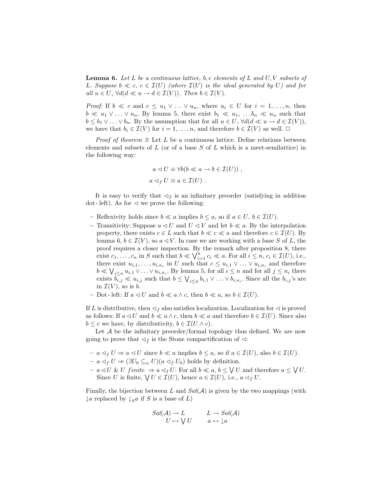**Lemma 6.** Let L be a continuous lattice, b, c elements of L and U, V subsets of L. Suppose  $b \ll c$ ,  $c \in \mathcal{I}(U)$  (where  $\mathcal{I}(U)$  is the ideal generated by U) and for all  $u \in U$ ,  $\forall d(d \ll u \rightarrow d \in \mathcal{I}(V))$ . Then  $b \in \mathcal{I}(V)$ .

*Proof:* If  $b \ll c$  and  $c \leq u_1 \vee \ldots \vee u_n$ , where  $u_i \in U$  for  $i = 1, \ldots, n$ , then  $b \ll u_1 \vee \ldots \vee u_n$ . By lemma 5, there exist  $b_1 \ll u_1, \ldots, b_n \ll u_n$  such that  $b \leq b_1 \vee \ldots \vee b_n$ . By the assumption that for all  $u \in U$ ,  $\forall d(d \ll u \rightarrow d \in \mathcal{I}(V))$ , we have that  $b_i \in \mathcal{I}(V)$  for  $i = 1, \ldots, n$ , and therefore  $b \in \mathcal{I}(V)$  as well.  $\Box$ 

*Proof of theorem 3:* Let  $L$  be a continuous lattice. Define relations between elements and subsets of  $L$  (or of a base  $S$  of  $L$  which is a meet-semilattice) in the following way:

$$
a \lhd U \equiv \forall b(b \ll a \rightarrow b \in \mathcal{I}(U)),
$$
  

$$
a \lhd_f U \equiv a \in \mathcal{I}(U).
$$

It is easy to verify that  $\lhd_f$  is an infinitary preorder (satisfying in addition  $dot$  - left). As for  $\triangleleft$  we prove the following:

- Reflexivity holds since  $b \ll a$  implies  $b \le a$ , so if  $a \in U$ ,  $b \in \mathcal{I}(U)$ .
- Transitivity: Suppose  $a \triangleleft U$  and  $U \triangleleft V$  and let  $b \ll a$ . By the interpolation property, there exists  $c \in L$  such that  $b \ll c \ll a$  and therefore  $c \in \mathcal{I}(U)$ . By lemma 6,  $b \in \mathcal{I}(V)$ , so  $a \triangleleft V$ . In case we are working with a base S of L, the proof requires a closer inspection. By the remark after proposition 8, there exist  $c_1, \ldots, c_n$  in S such that  $b \ll \bigvee_{i=1}^n c_i \ll a$ . For all  $i \leq n, c_i \in \mathcal{I}(U)$ , i.e., there exist  $u_{i,1}, \ldots, u_{i,n_i}$  in U such that  $c \leq u_{i,1} \vee \ldots \vee u_{i,n_i}$  and therefore  $b \ll \bigvee_{i \leq n} u_{i,1} \vee \ldots \vee u_{i,n_i}$ . By lemma 5, for all  $i \leq n$  and for all  $j \leq n_i$  there exists  $b_{i,j} \ll u_{i,j}$  such that  $b \leq \bigvee_{i \leq n} b_{i,1} \vee \ldots \vee b_{i,n_i}$ . Since all the  $b_{i,j}$ 's are in  $\mathcal{I}(V)$ , so is b.
- Dot-left: If  $a ⊲ U$  and  $b \ll a \land c$ , then  $b \ll a$ , so  $b \in \mathcal{I}(U)$ .

If L is distributive, then  $\lhd_f$  also satisfies localization. Localization for  $\lhd$  is proved as follows: If  $a \triangleleft U$  and  $b \ll a \wedge c$ , then  $b \ll a$  and therefore  $b \in \mathcal{I}(U)$ . Since also  $b \leq c$  we have, by distributivity,  $b \in \mathcal{I}(U \wedge c)$ .

Let  $A$  be the infinitary preorder/formal topology thus defined. We are now going to prove that  $\lhd_f$  is the Stone compactification of  $\lhd$ :

- $a \triangleleft_f U$  ⇒  $a ⊲ U$  since  $b \ll a$  implies  $b \le a$ , so if  $a \in \mathcal{I}(U)$ , also  $b \in \mathcal{I}(U)$ .
- $a \triangleleft_f U \Rightarrow (\exists U_0 \subseteq_{\omega} U)(a \triangleleft_f U_0)$  holds by definition.
- $a \triangleleft U \& U finite \Rightarrow a \triangleleft_{f} U$ : For all  $b \ll a, b \leq \bigvee U$  and therefore  $a \leq \bigvee U$ . Since U is finite,  $\bigvee U \in \mathcal{I}(U)$ , hence  $a \in \mathcal{I}(U)$ , i.e.,  $a \triangleleft_f U$ .

Finally, the bijection between L and  $Sat(\mathcal{A})$  is given by the two mappings (with  $\downarrow a$  replaced by  $\downarrow_S a$  if S is a base of L)

$$
Sat(\mathcal{A}) \to L \qquad L \to Sat(\mathcal{A})
$$

$$
U \mapsto \bigvee U \qquad a \mapsto \downarrow a
$$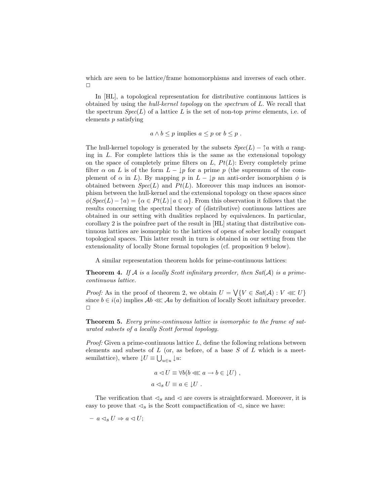which are seen to be lattice/frame homomorphisms and inverses of each other.  $\Box$ 

In [HL], a topological representation for distributive continuous lattices is obtained by using the hull-kernel topology on the spectrum of L. We recall that the spectrum  $Spec(L)$  of a lattice L is the set of non-top *prime* elements, i.e. of elements p satisfying

$$
a \wedge b \leq p
$$
 implies  $a \leq p$  or  $b \leq p$ .

The hull-kernel topology is generated by the subsets  $Spec(L) - \uparrow a$  with a ranging in  $L$ . For complete lattices this is the same as the extensional topology on the space of completely prime filters on  $L$ ,  $Pt(L)$ : Every completely prime filter  $\alpha$  on L is of the form  $L - \downarrow p$  for a prime p (the supremum of the complement of  $\alpha$  in L). By mapping p in  $L - \downarrow p$  an anti-order isomorphism  $\phi$  is obtained between  $Spec(L)$  and  $Pt(L)$ . Moreover this map induces an isomorphism between the hull-kernel and the extensional topology on these spaces since  $\phi(Spec(L)-\uparrow a)=\{\alpha \in Pt(L) \mid a \in \alpha\}.$  From this observation it follows that the results concerning the spectral theory of (distributive) continuous lattices are obtained in our setting with dualities replaced by equivalences. In particular, corollary 2 is the poinfree part of the result in [HL] stating that distributive continuous lattices are isomorphic to the lattices of opens of sober locally compact topological spaces. This latter result in turn is obtained in our setting from the extensionality of locally Stone formal topologies (cf. proposition 9 below).

A similar representation theorem holds for prime-continuous lattices:

**Theorem 4.** If A is a locally Scott infinitary preorder, then  $Sat(A)$  is a primecontinuous lattice.

*Proof:* As in the proof of theorem 2, we obtain  $U = \bigvee \{ V \in Sat(\mathcal{A}) : V \lll U \}$ since  $b \in i(a)$  implies  $Ab \lll Aa$  by definition of locally Scott infinitary preorder.  $\Box$ 

Theorem 5. Every prime-continuous lattice is isomorphic to the frame of saturated subsets of a locally Scott formal topology.

*Proof:* Given a prime-continuous lattice  $L$ , define the following relations between elements and subsets of  $L$  (or, as before, of a base  $S$  of  $L$  which is a meetsemilattice), where  $\downarrow U \equiv \bigcup_{u \in u} \downarrow u$ :

$$
a \lhd U \equiv \forall b (b \lll a \rightarrow b \in \downarrow U) ,
$$
  

$$
a \lhd_s U \equiv a \in \downarrow U .
$$

The verification that  $\triangleleft_s$  and  $\triangleleft$  are covers is straightforward. Moreover, it is easy to prove that  $\lhd_s$  is the Scott compactification of  $\lhd$ , since we have:

 $- a \triangleleft_s U \Rightarrow a \triangleleft U;$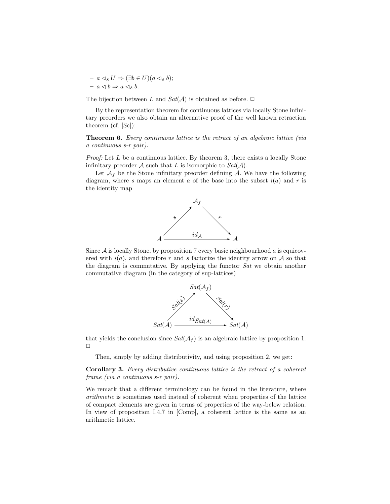–  $a \triangleleft_s U$  ⇒ (∃ $b \in U$ )( $a \triangleleft_s b$ );  $- a \triangleleft b \Rightarrow a \triangleleft s b$ .

The bijection between L and  $Sat(\mathcal{A})$  is obtained as before.  $\Box$ 

By the representation theorem for continuous lattices via locally Stone infinitary preorders we also obtain an alternative proof of the well known retraction theorem (cf. [Sc]):

Theorem 6. Every continuous lattice is the retract of an algebraic lattice (via a continuous s-r pair).

*Proof:* Let  $L$  be a continuous lattice. By theorem 3, there exists a locally Stone infinitary preorder A such that L is isomorphic to  $Sat(\mathcal{A})$ .

Let  $A_f$  be the Stone infinitary preorder defining A. We have the following diagram, where s maps an element a of the base into the subset  $i(a)$  and r is the identity map



Since  $A$  is locally Stone, by proposition 7 every basic neighbourhood  $a$  is equicovered with  $i(a)$ , and therefore r and s factorize the identity arrow on A so that the diagram is commutative. By applying the functor Sat we obtain another commutative diagram (in the category of sup-lattices)



that yields the conclusion since  $Sat(\mathcal{A}_f)$  is an algebraic lattice by proposition 1.  $\Box$ 

Then, simply by adding distributivity, and using proposition 2, we get:

Corollary 3. Every distributive continuous lattice is the retract of a coherent frame (via a continuous s-r pair).

We remark that a different terminology can be found in the literature, where arithmetic is sometimes used instead of coherent when properties of the lattice of compact elements are given in terms of properties of the way-below relation. In view of proposition I.4.7 in [Comp], a coherent lattice is the same as an arithmetic lattice.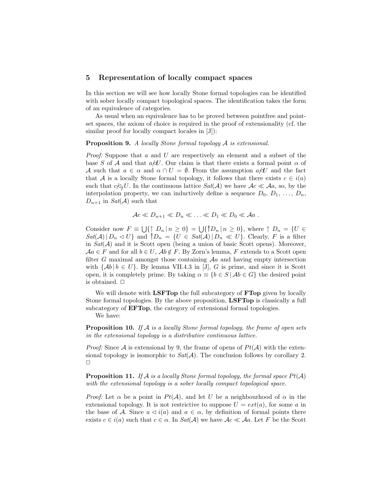### 5 Representation of locally compact spaces

In this section we will see how locally Stone formal topologies can be identified with sober locally compact topological spaces. The identification takes the form of an equivalence of categories.

As usual when an equivalence has to be proved between pointfree and pointset spaces, the axiom of choice is required in the proof of extensionality (cf. the similar proof for locally compact locales in [J]):

Proposition 9. A locally Stone formal topology A is extensional.

Proof: Suppose that a and U are respectively an element and a subset of the base S of A and that  $a\not\in U$ . Our claim is that there exists a formal point  $\alpha$  of A such that  $a \in \alpha$  and  $\alpha \cap U = \emptyset$ . From the assumption  $a \not\sim U$  and the fact that A is a locally Stone formal topology, it follows that there exists  $c \in i(a)$ such that  $c \nvert \mathcal{L}_f U$ . In the continuous lattice  $Sat(\mathcal{A})$  we have  $\mathcal{A}c \ll \mathcal{A}a$ , so, by the interpolation property, we can inductively define a sequence  $D_0, D_1, \ldots, D_n$ ,  $D_{n+1}$  in  $Sat(\mathcal{A})$  such that

$$
\mathcal{A}c \ll D_{n+1} \ll D_n \ll \ldots \ll D_1 \ll D_0 \ll \mathcal{A}a \; .
$$

Consider now  $F \equiv \bigcup \{ \uparrow D_n | n \geq 0 \} = \bigcup \{ \uparrow D_n | n \geq 0 \}$ , where  $\uparrow D_n = \{ U \in$  $Sat(\mathcal{A})|D_n \lhd U$  and  $\uparrow D_n = \{U \in Sat(\mathcal{A})|D_n \ll U\}$ . Clearly, F is a filter in  $Sat(\mathcal{A})$  and it is Scott open (being a union of basic Scott opens). Moreover,  $Aa \in F$  and for all  $b \in U$ ,  $Ab \notin F$ . By Zorn's lemma, F extends to a Scott open filter G maximal amongst those containing  $Aa$  and having empty intersection with  $\{Ab \mid b \in U\}$ . By lemma VII.4.3 in [J], G is prime, and since it is Scott open, it is completely prime. By taking  $\alpha \equiv \{b \in S \mid Ab \in G\}$  the desired point is obtained.  $\Box$ 

We will denote with LSFTop the full subcategory of FTop given by locally Stone formal topologies. By the above proposition, LSFTop is classically a full subcategory of **EFTop**, the category of extensional formal topologies.

We have:

**Proposition 10.** If  $A$  is a locally Stone formal topology, the frame of open sets in the extensional topology is a distributive continuous lattice.

*Proof:* Since A is extensional by 9, the frame of opens of  $Pt(A)$  with the extensional topology is isomorphic to  $Sat(\mathcal{A})$ . The conclusion follows by corollary 2.  $\Box$ 

**Proposition 11.** If A is a locally Stone formal topology, the formal space  $Pt(A)$ with the extensional topology is a sober locally compact topological space.

*Proof:* Let  $\alpha$  be a point in  $Pt(A)$ , and let U be a neighbourhood of  $\alpha$  in the extensional topology. It is not restrictive to suppose  $U = ext(a)$ , for some a in the base of A. Since  $a \triangleleft i(a)$  and  $a \in \alpha$ , by definition of formal points there exists  $c \in i(a)$  such that  $c \in \alpha$ . In  $Sat(\mathcal{A})$  we have  $\mathcal{A}c \ll \mathcal{A}a$ . Let F be the Scott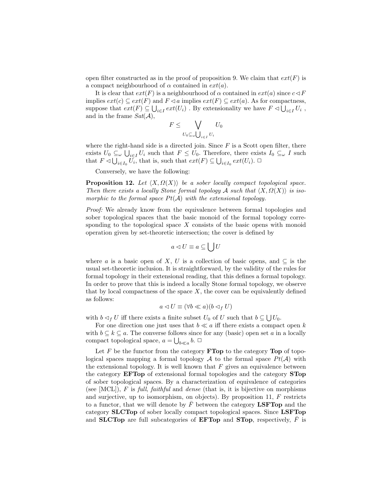open filter constructed as in the proof of proposition 9. We claim that  $ext(F)$  is a compact neighbourhood of  $\alpha$  contained in  $ext(a)$ .

It is clear that  $ext(F)$  is a neighbourhood of  $\alpha$  contained in  $ext(a)$  since  $c \triangleleft F$ implies  $ext(c) \subseteq ext(F)$  and  $F \triangleleft a$  implies  $ext(F) \subseteq ext(a)$ . As for compactness, suppose that  $ext(F) \subseteq \bigcup_{i \in I} ext(U_i)$ . By extensionality we have  $F \lhd \bigcup_{i \in I} U_i$ , and in the frame  $Sat(\mathcal{A}),$ 

$$
F \leq \bigvee_{U_0 \subseteq \omega \bigcup_{i \in I} U_i} U_0
$$

where the right-hand side is a directed join. Since  $F$  is a Scott open filter, there exists  $U_0 \subseteq_{\omega} \bigcup_{i \in I} U_i$  such that  $F \leq U_0$ . Therefore, there exists  $I_0 \subseteq_{\omega} I$  such that  $F \triangleleft \bigcup_{i \in I_0} U_i$ , that is, such that  $ext(F) \subseteq \bigcup_{i \in I_0} ext(U_i)$ .  $\Box$ 

Conversely, we have the following:

**Proposition 12.** Let  $\langle X, \Omega(X) \rangle$  be a sober locally compact topological space. Then there exists a locally Stone formal topology A such that  $\langle X, \Omega(X) \rangle$  is isomorphic to the formal space  $Pt(A)$  with the extensional topology.

Proof: We already know from the equivalence between formal topologies and sober topological spaces that the basic monoid of the formal topology corresponding to the topological space  $X$  consists of the basic opens with monoid operation given by set-theoretic intersection; the cover is defined by

$$
a \triangleleft U \equiv a \subseteq |U|
$$

where a is a basic open of X, U is a collection of basic opens, and  $\subseteq$  is the usual set-theoretic inclusion. It is straightforward, by the validity of the rules for formal topology in their extensional reading, that this defines a formal topology. In order to prove that this is indeed a locally Stone formal topology, we observe that by local compactness of the space  $X$ , the cover can be equivalently defined as follows:

$$
a \triangleleft U \equiv (\forall b \ll a)(b \triangleleft_f U)
$$

with  $b \lhd_f U$  iff there exists a finite subset  $U_0$  of U such that  $b \subseteq \bigcup U_0$ .

For one direction one just uses that  $b \ll a$  iff there exists a compact open k with  $b \subseteq k \subseteq a$ . The converse follows since for any (basic) open set a in a locally compact topological space,  $a = \bigcup_{b \ll a} b$ .  $\Box$ 

Let  $F$  be the functor from the category **FTop** to the category **Top** of topological spaces mapping a formal topology A to the formal space  $Pt(A)$  with the extensional topology. It is well known that  $F$  gives an equivalence between the category EFTop of extensional formal topologies and the category STop of sober topological spaces. By a characterization of equivalence of categories (see  $[MCL]$ ), F is full, faithful and dense (that is, it is bijective on morphisms and surjective, up to isomorphism, on objects). By proposition 11,  $F$  restricts to a functor, that we will denote by F between the category LSFTop and the category SLCTop of sober locally compact topological spaces. Since LSFTop and **SLCTop** are full subcategories of **EFTop** and **STop**, respectively,  $\overline{F}$  is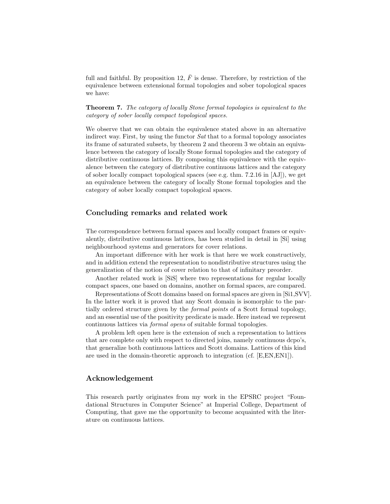full and faithful. By proposition 12,  $\bar{F}$  is dense. Therefore, by restriction of the equivalence between extensional formal topologies and sober topological spaces we have:

Theorem 7. The category of locally Stone formal topologies is equivalent to the category of sober locally compact topological spaces.

We observe that we can obtain the equivalence stated above in an alternative indirect way. First, by using the functor Sat that to a formal topology associates its frame of saturated subsets, by theorem 2 and theorem 3 we obtain an equivalence between the category of locally Stone formal topologies and the category of distributive continuous lattices. By composing this equivalence with the equivalence between the category of distributive continuous lattices and the category of sober locally compact topological spaces (see e.g. thm. 7.2.16 in [AJ]), we get an equivalence between the category of locally Stone formal topologies and the category of sober locally compact topological spaces.

## Concluding remarks and related work

The correspondence between formal spaces and locally compact frames or equivalently, distributive continuous lattices, has been studied in detail in [Si] using neighbourhood systems and generators for cover relations.

An important difference with her work is that here we work constructively, and in addition extend the representation to nondistributive structures using the generalization of the notion of cover relation to that of infinitary preorder.

Another related work is [SiS] where two representations for regular locally compact spaces, one based on domains, another on formal spaces, are compared.

Representations of Scott domains based on formal spaces are given in [Si1,SVV]. In the latter work it is proved that any Scott domain is isomorphic to the partially ordered structure given by the formal points of a Scott formal topology, and an essential use of the positivity predicate is made. Here instead we represent continuous lattices via formal opens of suitable formal topologies.

A problem left open here is the extension of such a representation to lattices that are complete only with respect to directed joins, namely continuous dcpo's, that generalize both continuous lattices and Scott domains. Lattices of this kind are used in the domain-theoretic approach to integration (cf. [E,EN,EN1]).

## Acknowledgement

This research partly originates from my work in the EPSRC project "Foundational Structures in Computer Science" at Imperial College, Department of Computing, that gave me the opportunity to become acquainted with the literature on continuous lattices.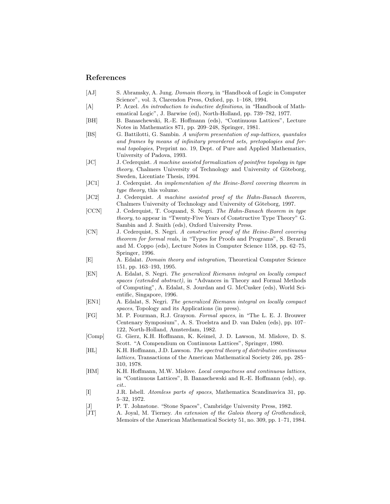# References

- [AJ] S. Abramsky, A. Jung. Domain theory, in "Handbook of Logic in Computer Science", vol. 3, Clarendon Press, Oxford, pp. 1–168, 1994.
- [A] P. Aczel. An introduction to inductive definitions, in "Handbook of Mathematical Logic", J. Barwise (ed), North-Holland, pp. 739–782, 1977.
- [BH] B. Banaschewski, R.-E. Hoffmann (eds), "Continuous Lattices", Lecture Notes in Mathematics 871, pp. 209–248, Springer, 1981.
- [BS] G. Battilotti, G. Sambin. A uniform presentation of sup-lattices, quantales and frames by means of infinitary preordered sets, pretopologies and formal topologies, Preprint no. 19, Dept. of Pure and Applied Mathematics, University of Padova, 1993.
- [JC] J. Cederquist. A machine assisted formalization of pointfree topology in type theory, Chalmers University of Technology and University of Göteborg, Sweden, Licentiate Thesis, 1994.
- [JC1] J. Cederquist. An implementation of the Heine-Borel covering theorem in type theory, this volume.
- [JC2] J. Cederquist. A machine assisted proof of the Hahn-Banach theorem, Chalmers University of Technology and University of Göteborg, 1997.
- [CCN] J. Cederquist, T. Coquand, S. Negri. The Hahn-Banach theorem in type theory, to appear in "Twenty-Five Years of Constructive Type Theory" G. Sambin and J. Smith (eds), Oxford University Press.
- [CN] J. Cederquist, S. Negri. A constructive proof of the Heine-Borel covering theorem for formal reals, in "Types for Proofs and Programs", S. Berardi and M. Coppo (eds), Lecture Notes in Computer Science 1158, pp. 62–75, Springer, 1996.
- [E] A. Edalat. Domain theory and integration, Theoretical Computer Science 151, pp. 163–193, 1995.
- [EN] A. Edalat, S. Negri. The generalized Riemann integral on locally compact spaces (extended abstract), in "Advances in Theory and Formal Methods of Computing", A. Edalat, S. Jourdan and G. McCusker (eds), World Scientific, Singapore, 1996.
- [EN1] A. Edalat, S. Negri. The generalized Riemann integral on locally compact spaces, Topology and its Applications (in press).
- [FG] M. P. Fourman, R.J. Grayson. Formal spaces, in "The L. E. J. Brouwer Centenary Symposium", A. S. Troelstra and D. van Dalen (eds), pp. 107– 122, North-Holland, Amsterdam, 1982.
- [Comp] G. Gierz, K.H. Hoffmann, K. Keimel, J. D. Lawson, M. Mislove, D. S. Scott. "A Compendium on Continuous Lattices", Springer, 1980.
- [HL] K.H. Hoffmann, J.D. Lawson. The spectral theory of distributive continuous lattices, Transactions of the American Mathematical Society 246, pp. 285– 310, 1978.
- [HM] K.H. Hoffmann, M.W. Mislove. Local compactness and continuous lattices, in "Continuous Lattices", B. Banaschewski and R.-E. Hoffmann (eds), op.  $cit..$
- [I] J.R. Isbell. Atomless parts of spaces, Mathematica Scandinavica 31, pp. 5–32, 1972.
- [J] P. T. Johnstone. "Stone Spaces", Cambridge University Press, 1982.
- [JT] A. Joyal, M. Tierney. An extension of the Galois theory of Grothendieck, Memoirs of the American Mathematical Society 51, no. 309, pp. 1–71, 1984.